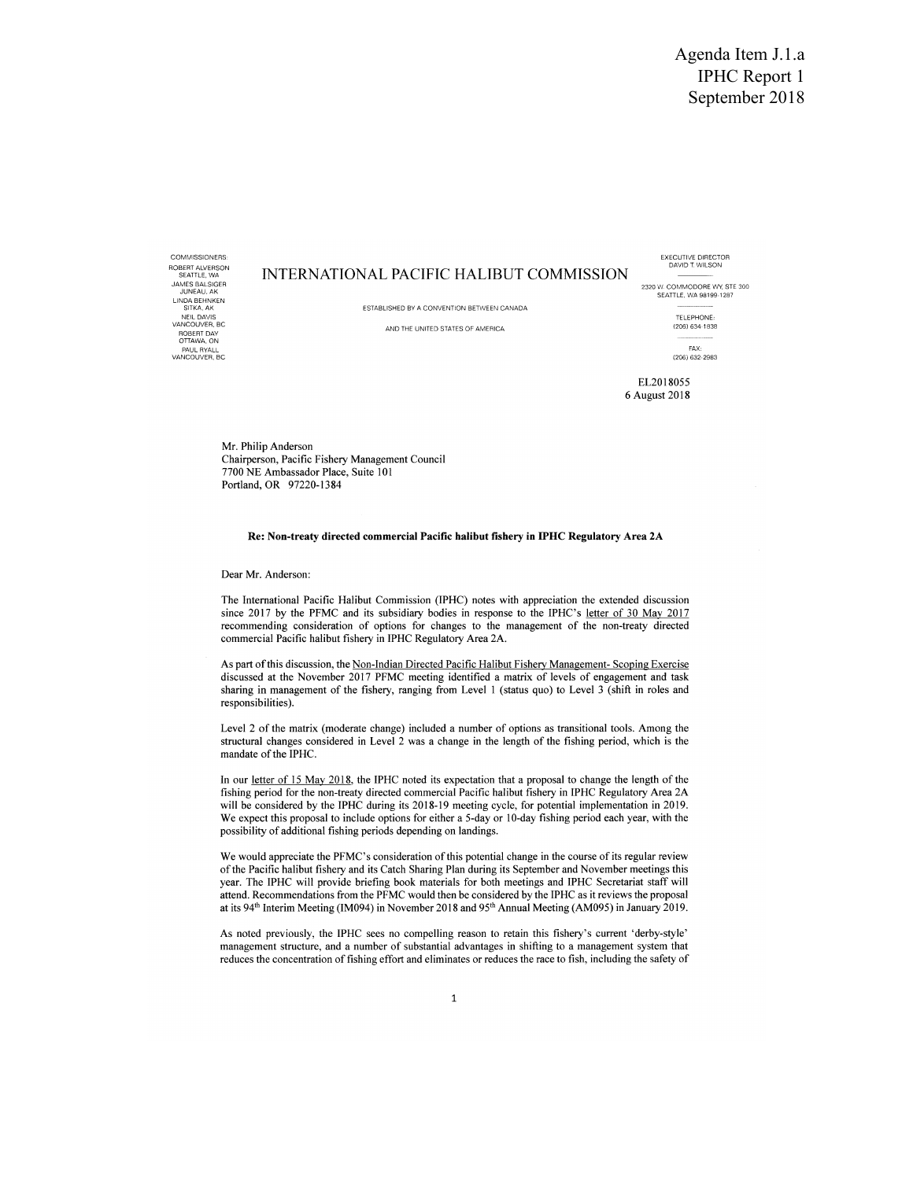Agenda Item J.1.a IPHC Report 1 September 2018

ROBERT ALVERSON<br>SEATTLE, WA<br>JAMES BALSIGER<br>JUNEAU, AK LINDA BEHNKEN NEIL DAVIS TELEPHONE: NEIL DAVIS<br>VANCOUVER, BC ROBERT DAY OTTAWA, ON PAUL RYALL FAX  $V$ ANCOUVER, BC (206) 632-2983

## COMMISSIONERS: EXECUTIVE DIRECTOR DAVID T WILSON INTERNATIONAL PACIFIC HALIBUT COMMISSION

ESTABLISHED BY A CONVENTION BETWEEN CANADA

JAMES BALSIGER<br>JUNEAU, AK SON 2002<br>JUNEAU SEATTLE, WA 98199-1287

AND THE UNITED STATES OF AMERICA (206) 634-1838

EL2018055 6 August 2018

Mr. Philip Anderson Chairperson, Pacific Fishery Management Council 7700 NE Ambassador Place, Suite 101 Portland, OR 97220-13 84

## Re: Non-treaty directed commercial Pacific halibut fishery in IPHC Regulatory Area 2A

Dear Mr. Anderson:

The International Pacific Halibut Commission (IPHC) notes with appreciation the extended discussion since 2017 by the PFMC and its subsidiary bodies in response to the IPHC's letter of 30 May 2017 recommending consideration of options for changes to the management of the non-treaty directed commercial Pacific halibut fishery in IPHC Regulatory Area 2A.

As part of this discussion, the Non-Indian Directed Pacific Halibut Fishery Management- Scoping Exercise discussed at the November 2017 PFMC meeting identified a matrix of levels of engagement and task sharing in management of the fishery, ranging from Level 1 (status quo) to Level 3 (shift in roles and responsibilities).

Level 2 of the matrix (moderate change) included a number of options as transitional tools. Among the structural changes considered in Level 2 was a change in the length of the fishing period, which is the mandate of the IPHC.

In our letter of 15 May 2018, the IPHC noted its expectation that a proposal to change the length of the fishing period for the non-treaty directed commercial Pacific halibut fishery in IPHC Regulatory Area 2A will be considered by the IPHC during its 2018-19 meeting cycle, for potential implementation in 2019. We expect this proposal to include options for either a 5-day or 10-day fishing period each year, with the possibility of additional fishing periods depending on landings.

We would appreciate the PFMC's consideration of this potential change in the course of its regular review of the Pacific halibut fishery and its Catch Sharing Plan during its September and November meetings this year. The IPHC will provide briefing book materials for both meetings and IPHC Secretariat staff will attend. Recommendations from the PFMC would then be considered by the IPHC as it reviews the proposal at its 94th Interim Meeting (IM094) in November 2018 and 95th Annual Meeting (AM095) in January 2019.

As noted previously, the IPHC sees no compelling reason to retain this fishery's current `derby-style' management structure, and a number of substantial advantages in shifting to a management system that reduces the concentration of fishing effort and eliminates or reduces the race to fish, including the safety of